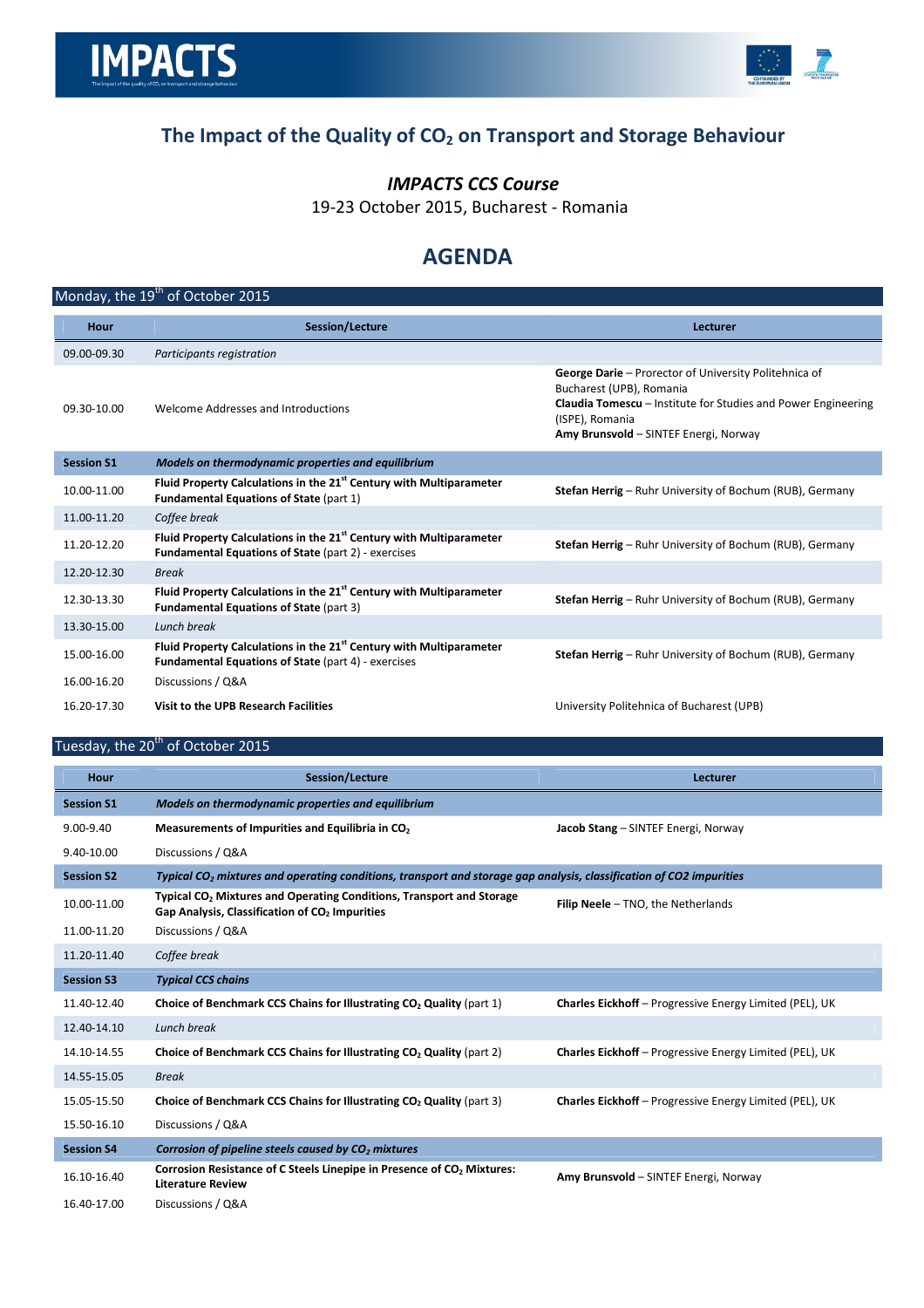

# The Impact of the Quality of  $CO<sub>2</sub>$  on Transport and Storage Behaviour

### IMPACTS CCS Course

19-23 October 2015, Bucharest - Romania

## AGENDA

| Hour              | Session/Lecture                                                                                                                               | Lecturer                                                                                                                                                                                                              |
|-------------------|-----------------------------------------------------------------------------------------------------------------------------------------------|-----------------------------------------------------------------------------------------------------------------------------------------------------------------------------------------------------------------------|
| 09.00-09.30       | Participants registration                                                                                                                     |                                                                                                                                                                                                                       |
| 09.30-10.00       | Welcome Addresses and Introductions                                                                                                           | George Darie - Prorector of University Politehnica of<br>Bucharest (UPB), Romania<br><b>Claudia Tomescu</b> – Institute for Studies and Power Engineering<br>(ISPE), Romania<br>Amy Brunsvold - SINTEF Energi, Norway |
| <b>Session S1</b> | Models on thermodynamic properties and equilibrium                                                                                            |                                                                                                                                                                                                                       |
| 10.00-11.00       | Fluid Property Calculations in the 21 <sup>st</sup> Century with Multiparameter<br><b>Fundamental Equations of State (part 1)</b>             | <b>Stefan Herrig</b> – Ruhr University of Bochum (RUB), Germany                                                                                                                                                       |
| 11.00-11.20       | Coffee break                                                                                                                                  |                                                                                                                                                                                                                       |
| 11.20-12.20       | Fluid Property Calculations in the 21 <sup>st</sup> Century with Multiparameter<br><b>Fundamental Equations of State (part 2) - exercises</b> | Stefan Herrig - Ruhr University of Bochum (RUB), Germany                                                                                                                                                              |
| 12.20-12.30       | <b>Break</b>                                                                                                                                  |                                                                                                                                                                                                                       |
| 12.30-13.30       | Fluid Property Calculations in the 21 <sup>st</sup> Century with Multiparameter<br><b>Fundamental Equations of State (part 3)</b>             | Stefan Herrig - Ruhr University of Bochum (RUB), Germany                                                                                                                                                              |
| 13.30-15.00       | Lunch break                                                                                                                                   |                                                                                                                                                                                                                       |
| 15.00-16.00       | Fluid Property Calculations in the 21 <sup>st</sup> Century with Multiparameter<br>Fundamental Equations of State (part 4) - exercises        | <b>Stefan Herrig</b> – Ruhr University of Bochum (RUB), Germany                                                                                                                                                       |
| 16.00-16.20       | Discussions / Q&A                                                                                                                             |                                                                                                                                                                                                                       |
| 16.20-17.30       | Visit to the UPB Research Facilities                                                                                                          | University Politehnica of Bucharest (UPB)                                                                                                                                                                             |
|                   | Tuesday, the 20 <sup>th</sup> of October 2015                                                                                                 |                                                                                                                                                                                                                       |

| Hour              | Session/Lecture                                                                                                                                | Lecturer                                                       |
|-------------------|------------------------------------------------------------------------------------------------------------------------------------------------|----------------------------------------------------------------|
| <b>Session S1</b> | Models on thermodynamic properties and equilibrium                                                                                             |                                                                |
| 9.00-9.40         | Measurements of Impurities and Equilibria in CO <sub>2</sub>                                                                                   | Jacob Stang - SINTEF Energi, Norway                            |
| 9.40-10.00        | Discussions / Q&A                                                                                                                              |                                                                |
| <b>Session S2</b> | Typical CO <sub>2</sub> mixtures and operating conditions, transport and storage gap analysis, classification of CO2 impurities                |                                                                |
| 10.00-11.00       | Typical CO <sub>2</sub> Mixtures and Operating Conditions, Transport and Storage<br>Gap Analysis, Classification of CO <sub>2</sub> Impurities | Filip Neele - TNO, the Netherlands                             |
| 11.00-11.20       | Discussions / Q&A                                                                                                                              |                                                                |
| 11.20-11.40       | Coffee break                                                                                                                                   |                                                                |
| <b>Session S3</b> | <b>Typical CCS chains</b>                                                                                                                      |                                                                |
| 11.40-12.40       | Choice of Benchmark CCS Chains for Illustrating CO <sub>2</sub> Quality (part 1)                                                               | <b>Charles Eickhoff</b> – Progressive Energy Limited (PEL), UK |
| 12.40-14.10       | Lunch break                                                                                                                                    |                                                                |
| 14.10-14.55       | Choice of Benchmark CCS Chains for Illustrating CO <sub>2</sub> Quality (part 2)                                                               | <b>Charles Eickhoff</b> – Progressive Energy Limited (PEL), UK |
| 14.55-15.05       | <b>Break</b>                                                                                                                                   |                                                                |
| 15.05-15.50       | Choice of Benchmark CCS Chains for Illustrating CO <sub>2</sub> Quality (part 3)                                                               | <b>Charles Eickhoff</b> – Progressive Energy Limited (PEL), UK |
| 15.50-16.10       | Discussions / Q&A                                                                                                                              |                                                                |
| <b>Session S4</b> | Corrosion of pipeline steels caused by CO <sub>2</sub> mixtures                                                                                |                                                                |
| 16.10-16.40       | Corrosion Resistance of C Steels Linepipe in Presence of CO <sub>2</sub> Mixtures:<br><b>Literature Review</b>                                 | Amy Brunsvold - SINTEF Energi, Norway                          |
| 16.40-17.00       | Discussions / Q&A                                                                                                                              |                                                                |